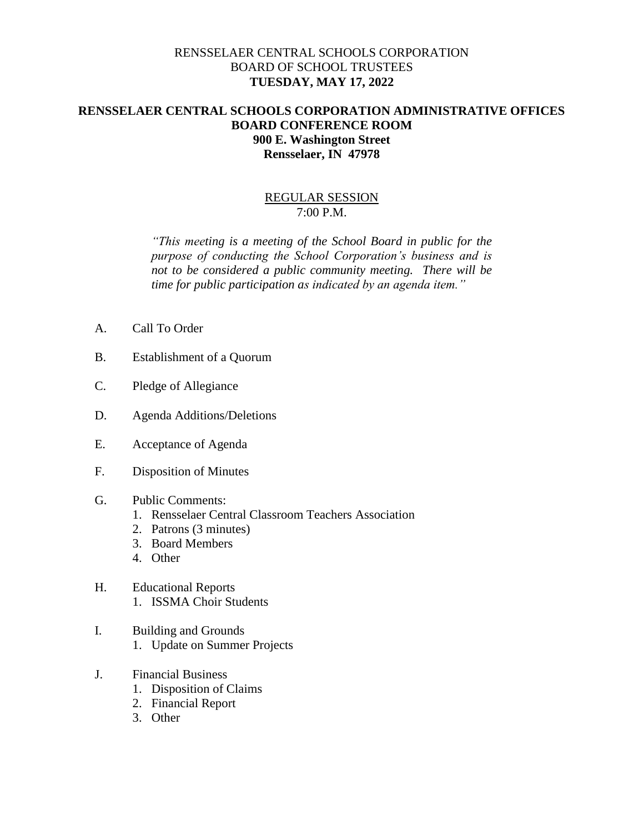## RENSSELAER CENTRAL SCHOOLS CORPORATION BOARD OF SCHOOL TRUSTEES **TUESDAY, MAY 17, 2022**

## **RENSSELAER CENTRAL SCHOOLS CORPORATION ADMINISTRATIVE OFFICES BOARD CONFERENCE ROOM 900 E. Washington Street Rensselaer, IN 47978**

## REGULAR SESSION 7:00 P.M.

*"This meeting is a meeting of the School Board in public for the purpose of conducting the School Corporation's business and is not to be considered a public community meeting. There will be time for public participation as indicated by an agenda item."*

- A. Call To Order
- B. Establishment of a Quorum
- C. Pledge of Allegiance
- D. Agenda Additions/Deletions
- E. Acceptance of Agenda
- F. Disposition of Minutes
- G. Public Comments:
	- 1. Rensselaer Central Classroom Teachers Association
	- 2. Patrons (3 minutes)
	- 3. Board Members
	- 4. Other
- H. Educational Reports 1. ISSMA Choir Students
- I. Building and Grounds 1. Update on Summer Projects
- J. Financial Business
	- 1. Disposition of Claims
	- 2. Financial Report
	- 3. Other